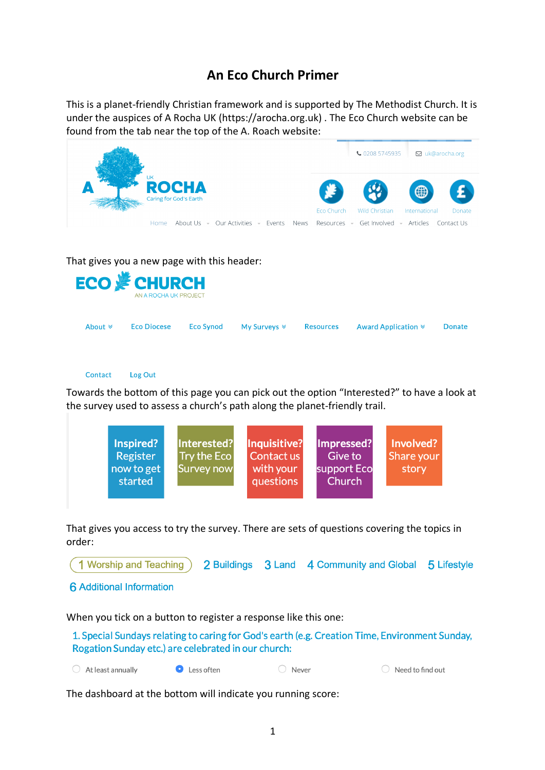## **An Eco Church Primer**

This is a planet-friendly Christian framework and is supported by The Methodist Church. It is under the auspices of A Rocha UK (https://arocha.org.uk) . The Eco Church website can be found from the tab near the top of the A. Roach website:

|                                             |                                                     |                                              |                         |                                               | ↓ 0208 5745935<br>⊠ uk@arocha.org                |                                       |  |
|---------------------------------------------|-----------------------------------------------------|----------------------------------------------|-------------------------|-----------------------------------------------|--------------------------------------------------|---------------------------------------|--|
|                                             | <b>UK</b><br><b>ROCHA</b><br>Caring for God's Earth |                                              |                         |                                               |                                                  | ⊕                                     |  |
|                                             | Home                                                | About Us $\sim$ Our Activities $\sim$ Events |                         | Eco Church<br><b>News</b><br>Resources $\sim$ | <b>Wild Christian</b><br>Get Involved - Articles | International<br>Donate<br>Contact Us |  |
| That gives you a new page with this header: |                                                     |                                              |                         |                                               |                                                  |                                       |  |
| <b>ECO &amp; CHURCH</b>                     | AN A ROCHA UK PROJECT                               |                                              |                         |                                               |                                                  |                                       |  |
| About $\le$                                 | <b>Eco Diocese</b>                                  | <b>Eco Synod</b>                             | My Surveys $\mathscr V$ | <b>Resources</b>                              | Award Application $\ast$                         | <b>Donate</b>                         |  |

## Contact Log Out

Towards the bottom of this page you can pick out the option "Interested?" to have a look at the survey used to assess a church's path along the planet-friendly trail.



That gives you access to try the survey. There are sets of questions covering the topics in order:

1 Worship and Teaching 2 Buildings 3 Land 4 Community and Global 5 Lifestyle

**6** Additional Information

## When you tick on a button to register a response like this one:

1. Special Sundays relating to caring for God's earth (e.g. Creation Time, Environment Sunday, Rogation Sunday etc.) are celebrated in our church:

 $\bigcirc$  At least annually Less often ◯ Never  $\bigcirc$  Need to find out

The dashboard at the bottom will indicate you running score: